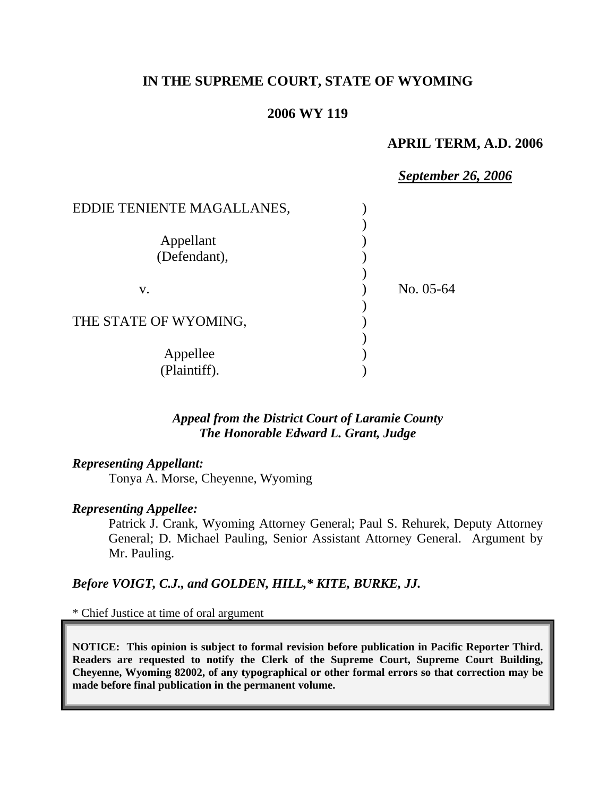# **IN THE SUPREME COURT, STATE OF WYOMING**

# **2006 WY 119**

### **APRIL TERM, A.D. 2006**

| EDDIE TENIENTE MAGALLANES, |  |
|----------------------------|--|
|                            |  |
| Appellant                  |  |
| (Defendant),               |  |
|                            |  |
| No. 05-64<br>V.            |  |
|                            |  |
| THE STATE OF WYOMING,      |  |
|                            |  |
| Appellee                   |  |
| (Plaintiff).               |  |

### *Appeal from the District Court of Laramie County The Honorable Edward L. Grant, Judge*

### *Representing Appellant:*

Tonya A. Morse, Cheyenne, Wyoming

#### *Representing Appellee:*

Patrick J. Crank, Wyoming Attorney General; Paul S. Rehurek, Deputy Attorney General; D. Michael Pauling, Senior Assistant Attorney General. Argument by Mr. Pauling.

### *Before VOIGT, C.J., and GOLDEN, HILL,\* KITE, BURKE, JJ.*

\* Chief Justice at time of oral argument

**NOTICE: This opinion is subject to formal revision before publication in Pacific Reporter Third. Readers are requested to notify the Clerk of the Supreme Court, Supreme Court Building, Cheyenne, Wyoming 82002, of any typographical or other formal errors so that correction may be made before final publication in the permanent volume.**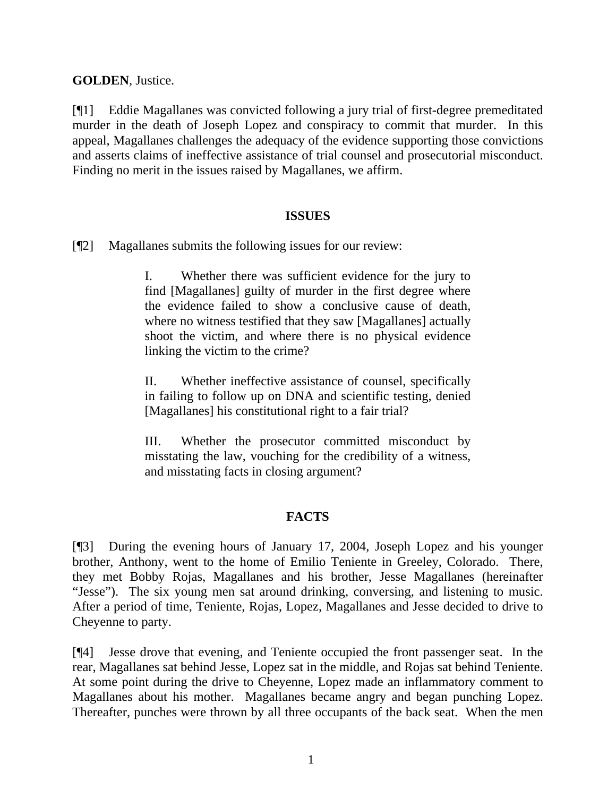**GOLDEN**, Justice.

[¶1] Eddie Magallanes was convicted following a jury trial of first-degree premeditated murder in the death of Joseph Lopez and conspiracy to commit that murder. In this appeal, Magallanes challenges the adequacy of the evidence supporting those convictions and asserts claims of ineffective assistance of trial counsel and prosecutorial misconduct. Finding no merit in the issues raised by Magallanes, we affirm.

### **ISSUES**

[¶2] Magallanes submits the following issues for our review:

I. Whether there was sufficient evidence for the jury to find [Magallanes] guilty of murder in the first degree where the evidence failed to show a conclusive cause of death, where no witness testified that they saw [Magallanes] actually shoot the victim, and where there is no physical evidence linking the victim to the crime?

II. Whether ineffective assistance of counsel, specifically in failing to follow up on DNA and scientific testing, denied [Magallanes] his constitutional right to a fair trial?

III. Whether the prosecutor committed misconduct by misstating the law, vouching for the credibility of a witness, and misstating facts in closing argument?

# **FACTS**

[¶3] During the evening hours of January 17, 2004, Joseph Lopez and his younger brother, Anthony, went to the home of Emilio Teniente in Greeley, Colorado. There, they met Bobby Rojas, Magallanes and his brother, Jesse Magallanes (hereinafter "Jesse"). The six young men sat around drinking, conversing, and listening to music. After a period of time, Teniente, Rojas, Lopez, Magallanes and Jesse decided to drive to Cheyenne to party.

[¶4] Jesse drove that evening, and Teniente occupied the front passenger seat. In the rear, Magallanes sat behind Jesse, Lopez sat in the middle, and Rojas sat behind Teniente. At some point during the drive to Cheyenne, Lopez made an inflammatory comment to Magallanes about his mother. Magallanes became angry and began punching Lopez. Thereafter, punches were thrown by all three occupants of the back seat. When the men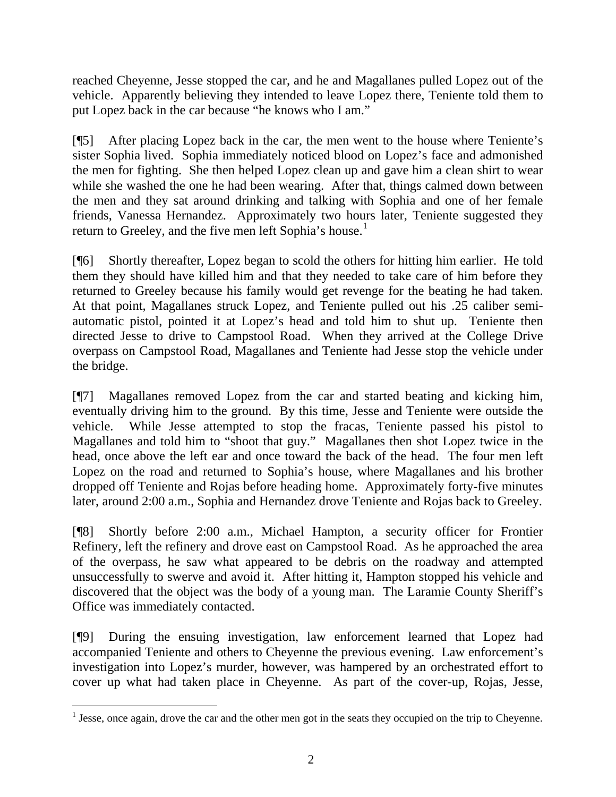reached Cheyenne, Jesse stopped the car, and he and Magallanes pulled Lopez out of the vehicle. Apparently believing they intended to leave Lopez there, Teniente told them to put Lopez back in the car because "he knows who I am."

[¶5] After placing Lopez back in the car, the men went to the house where Teniente's sister Sophia lived. Sophia immediately noticed blood on Lopez's face and admonished the men for fighting. She then helped Lopez clean up and gave him a clean shirt to wear while she washed the one he had been wearing. After that, things calmed down between the men and they sat around drinking and talking with Sophia and one of her female friends, Vanessa Hernandez. Approximately two hours later, Teniente suggested they return to Greeley, and the five men left Sophia's house.<sup>[1](#page-2-0)</sup>

[¶6] Shortly thereafter, Lopez began to scold the others for hitting him earlier. He told them they should have killed him and that they needed to take care of him before they returned to Greeley because his family would get revenge for the beating he had taken. At that point, Magallanes struck Lopez, and Teniente pulled out his .25 caliber semiautomatic pistol, pointed it at Lopez's head and told him to shut up. Teniente then directed Jesse to drive to Campstool Road. When they arrived at the College Drive overpass on Campstool Road, Magallanes and Teniente had Jesse stop the vehicle under the bridge.

[¶7] Magallanes removed Lopez from the car and started beating and kicking him, eventually driving him to the ground. By this time, Jesse and Teniente were outside the vehicle. While Jesse attempted to stop the fracas, Teniente passed his pistol to Magallanes and told him to "shoot that guy." Magallanes then shot Lopez twice in the head, once above the left ear and once toward the back of the head. The four men left Lopez on the road and returned to Sophia's house, where Magallanes and his brother dropped off Teniente and Rojas before heading home. Approximately forty-five minutes later, around 2:00 a.m., Sophia and Hernandez drove Teniente and Rojas back to Greeley.

[¶8] Shortly before 2:00 a.m., Michael Hampton, a security officer for Frontier Refinery, left the refinery and drove east on Campstool Road. As he approached the area of the overpass, he saw what appeared to be debris on the roadway and attempted unsuccessfully to swerve and avoid it. After hitting it, Hampton stopped his vehicle and discovered that the object was the body of a young man. The Laramie County Sheriff's Office was immediately contacted.

[¶9] During the ensuing investigation, law enforcement learned that Lopez had accompanied Teniente and others to Cheyenne the previous evening. Law enforcement's investigation into Lopez's murder, however, was hampered by an orchestrated effort to cover up what had taken place in Cheyenne. As part of the cover-up, Rojas, Jesse,

 $\overline{a}$ 

<span id="page-2-0"></span> $<sup>1</sup>$  Jesse, once again, drove the car and the other men got in the seats they occupied on the trip to Cheyenne.</sup>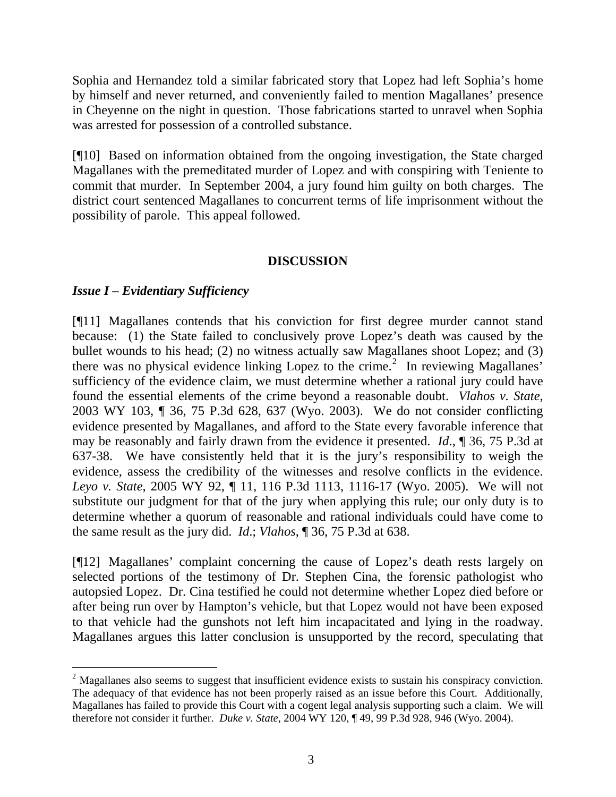Sophia and Hernandez told a similar fabricated story that Lopez had left Sophia's home by himself and never returned, and conveniently failed to mention Magallanes' presence in Cheyenne on the night in question. Those fabrications started to unravel when Sophia was arrested for possession of a controlled substance.

[¶10] Based on information obtained from the ongoing investigation, the State charged Magallanes with the premeditated murder of Lopez and with conspiring with Teniente to commit that murder. In September 2004, a jury found him guilty on both charges. The district court sentenced Magallanes to concurrent terms of life imprisonment without the possibility of parole. This appeal followed.

# **DISCUSSION**

# *Issue I – Evidentiary Sufficiency*

l

[¶11] Magallanes contends that his conviction for first degree murder cannot stand because: (1) the State failed to conclusively prove Lopez's death was caused by the bullet wounds to his head; (2) no witness actually saw Magallanes shoot Lopez; and (3) there was no physical evidence linking Lopez to the crime.<sup>[2](#page-3-0)</sup> In reviewing Magallanes' sufficiency of the evidence claim, we must determine whether a rational jury could have found the essential elements of the crime beyond a reasonable doubt. *Vlahos v. State*, 2003 WY 103, ¶ 36, 75 P.3d 628, 637 (Wyo. 2003). We do not consider conflicting evidence presented by Magallanes, and afford to the State every favorable inference that may be reasonably and fairly drawn from the evidence it presented. *Id*., ¶ 36, 75 P.3d at 637-38. We have consistently held that it is the jury's responsibility to weigh the evidence, assess the credibility of the witnesses and resolve conflicts in the evidence. *Leyo v. State*, 2005 WY 92, ¶ 11, 116 P.3d 1113, 1116-17 (Wyo. 2005). We will not substitute our judgment for that of the jury when applying this rule; our only duty is to determine whether a quorum of reasonable and rational individuals could have come to the same result as the jury did. *Id*.; *Vlahos*, ¶ 36, 75 P.3d at 638.

[¶12] Magallanes' complaint concerning the cause of Lopez's death rests largely on selected portions of the testimony of Dr. Stephen Cina, the forensic pathologist who autopsied Lopez. Dr. Cina testified he could not determine whether Lopez died before or after being run over by Hampton's vehicle, but that Lopez would not have been exposed to that vehicle had the gunshots not left him incapacitated and lying in the roadway. Magallanes argues this latter conclusion is unsupported by the record, speculating that

<span id="page-3-0"></span> $2$  Magallanes also seems to suggest that insufficient evidence exists to sustain his conspiracy conviction. The adequacy of that evidence has not been properly raised as an issue before this Court. Additionally, Magallanes has failed to provide this Court with a cogent legal analysis supporting such a claim. We will therefore not consider it further. *Duke v. State*, 2004 WY 120, ¶ 49, 99 P.3d 928, 946 (Wyo. 2004).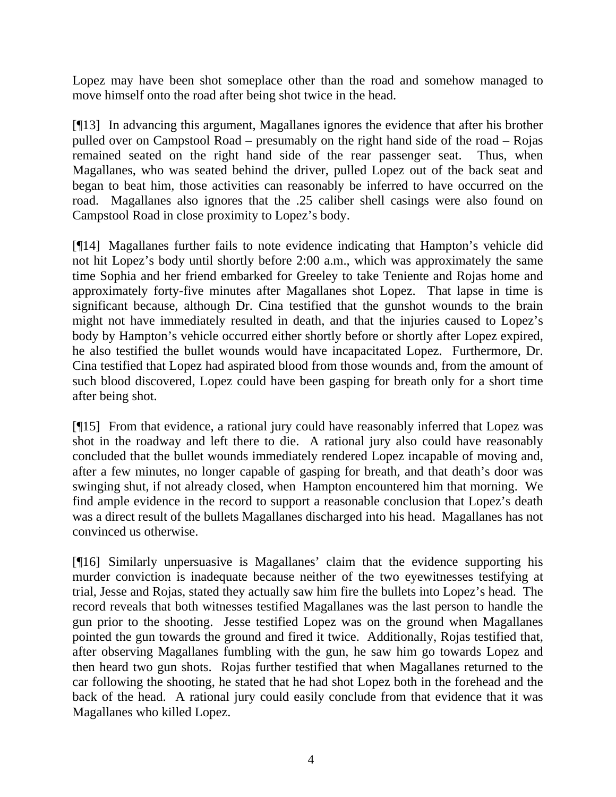Lopez may have been shot someplace other than the road and somehow managed to move himself onto the road after being shot twice in the head.

[¶13] In advancing this argument, Magallanes ignores the evidence that after his brother pulled over on Campstool Road – presumably on the right hand side of the road – Rojas remained seated on the right hand side of the rear passenger seat. Thus, when Magallanes, who was seated behind the driver, pulled Lopez out of the back seat and began to beat him, those activities can reasonably be inferred to have occurred on the road. Magallanes also ignores that the .25 caliber shell casings were also found on Campstool Road in close proximity to Lopez's body.

[¶14] Magallanes further fails to note evidence indicating that Hampton's vehicle did not hit Lopez's body until shortly before 2:00 a.m., which was approximately the same time Sophia and her friend embarked for Greeley to take Teniente and Rojas home and approximately forty-five minutes after Magallanes shot Lopez. That lapse in time is significant because, although Dr. Cina testified that the gunshot wounds to the brain might not have immediately resulted in death, and that the injuries caused to Lopez's body by Hampton's vehicle occurred either shortly before or shortly after Lopez expired, he also testified the bullet wounds would have incapacitated Lopez. Furthermore, Dr. Cina testified that Lopez had aspirated blood from those wounds and, from the amount of such blood discovered, Lopez could have been gasping for breath only for a short time after being shot.

[¶15] From that evidence, a rational jury could have reasonably inferred that Lopez was shot in the roadway and left there to die. A rational jury also could have reasonably concluded that the bullet wounds immediately rendered Lopez incapable of moving and, after a few minutes, no longer capable of gasping for breath, and that death's door was swinging shut, if not already closed, when Hampton encountered him that morning. We find ample evidence in the record to support a reasonable conclusion that Lopez's death was a direct result of the bullets Magallanes discharged into his head. Magallanes has not convinced us otherwise.

[¶16] Similarly unpersuasive is Magallanes' claim that the evidence supporting his murder conviction is inadequate because neither of the two eyewitnesses testifying at trial, Jesse and Rojas, stated they actually saw him fire the bullets into Lopez's head. The record reveals that both witnesses testified Magallanes was the last person to handle the gun prior to the shooting. Jesse testified Lopez was on the ground when Magallanes pointed the gun towards the ground and fired it twice. Additionally, Rojas testified that, after observing Magallanes fumbling with the gun, he saw him go towards Lopez and then heard two gun shots. Rojas further testified that when Magallanes returned to the car following the shooting, he stated that he had shot Lopez both in the forehead and the back of the head. A rational jury could easily conclude from that evidence that it was Magallanes who killed Lopez.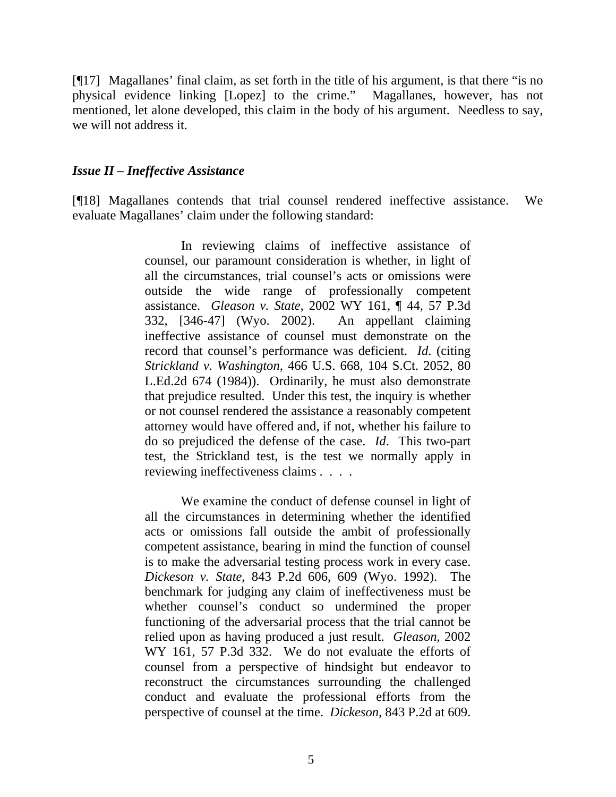[¶17] Magallanes' final claim, as set forth in the title of his argument, is that there "is no physical evidence linking [Lopez] to the crime." Magallanes, however, has not mentioned, let alone developed, this claim in the body of his argument. Needless to say, we will not address it.

### *Issue II – Ineffective Assistance*

[¶18] Magallanes contends that trial counsel rendered ineffective assistance. We evaluate Magallanes' claim under the following standard:

> In reviewing claims of ineffective assistance of counsel, our paramount consideration is whether, in light of all the circumstances, trial counsel's acts or omissions were outside the wide range of professionally competent assistance. *Gleason v. State*, 2002 WY 161, ¶ 44, 57 P.3d 332, [346-47] (Wyo. 2002). An appellant claiming ineffective assistance of counsel must demonstrate on the record that counsel's performance was deficient. *Id*. (citing *Strickland v. Washington*, 466 U.S. 668, 104 S.Ct. 2052, 80 L.Ed.2d 674 (1984)). Ordinarily, he must also demonstrate that prejudice resulted. Under this test, the inquiry is whether or not counsel rendered the assistance a reasonably competent attorney would have offered and, if not, whether his failure to do so prejudiced the defense of the case. *Id*. This two-part test, the Strickland test, is the test we normally apply in reviewing ineffectiveness claims . . . .

> We examine the conduct of defense counsel in light of all the circumstances in determining whether the identified acts or omissions fall outside the ambit of professionally competent assistance, bearing in mind the function of counsel is to make the adversarial testing process work in every case. *Dickeson v. State*, 843 P.2d 606, 609 (Wyo. 1992). The benchmark for judging any claim of ineffectiveness must be whether counsel's conduct so undermined the proper functioning of the adversarial process that the trial cannot be relied upon as having produced a just result. *Gleason*, 2002 WY 161, 57 P.3d 332. We do not evaluate the efforts of counsel from a perspective of hindsight but endeavor to reconstruct the circumstances surrounding the challenged conduct and evaluate the professional efforts from the perspective of counsel at the time. *Dickeson*, 843 P.2d at 609.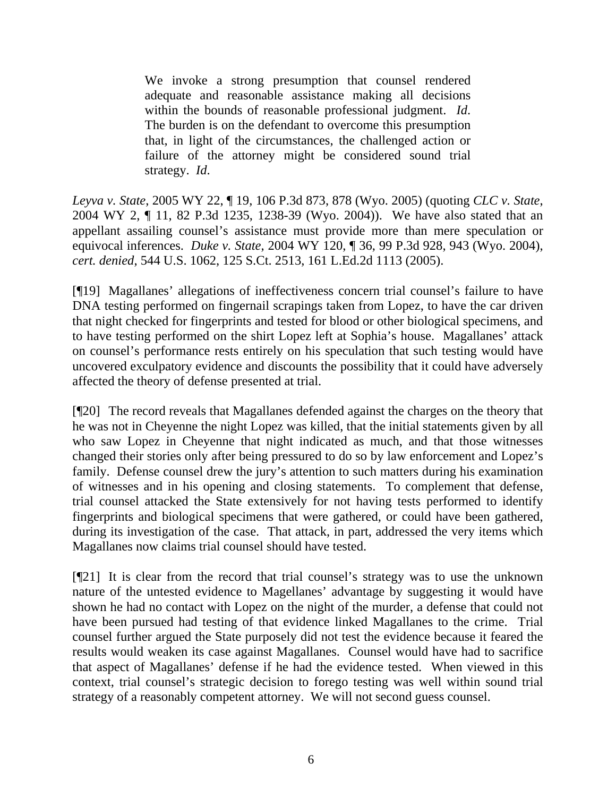We invoke a strong presumption that counsel rendered adequate and reasonable assistance making all decisions within the bounds of reasonable professional judgment. *Id*. The burden is on the defendant to overcome this presumption that, in light of the circumstances, the challenged action or failure of the attorney might be considered sound trial strategy. *Id*.

*Leyva v. State*, 2005 WY 22, ¶ 19, 106 P.3d 873, 878 (Wyo. 2005) (quoting *CLC v. State*, 2004 WY 2, ¶ 11, 82 P.3d 1235, 1238-39 (Wyo. 2004)). We have also stated that an appellant assailing counsel's assistance must provide more than mere speculation or equivocal inferences. *Duke v. State*, 2004 WY 120, ¶ 36, 99 P.3d 928, 943 (Wyo. 2004), *cert. denied*, 544 U.S. 1062, 125 S.Ct. 2513, 161 L.Ed.2d 1113 (2005).

[¶19] Magallanes' allegations of ineffectiveness concern trial counsel's failure to have DNA testing performed on fingernail scrapings taken from Lopez, to have the car driven that night checked for fingerprints and tested for blood or other biological specimens, and to have testing performed on the shirt Lopez left at Sophia's house. Magallanes' attack on counsel's performance rests entirely on his speculation that such testing would have uncovered exculpatory evidence and discounts the possibility that it could have adversely affected the theory of defense presented at trial.

[¶20] The record reveals that Magallanes defended against the charges on the theory that he was not in Cheyenne the night Lopez was killed, that the initial statements given by all who saw Lopez in Cheyenne that night indicated as much, and that those witnesses changed their stories only after being pressured to do so by law enforcement and Lopez's family. Defense counsel drew the jury's attention to such matters during his examination of witnesses and in his opening and closing statements. To complement that defense, trial counsel attacked the State extensively for not having tests performed to identify fingerprints and biological specimens that were gathered, or could have been gathered, during its investigation of the case. That attack, in part, addressed the very items which Magallanes now claims trial counsel should have tested.

[¶21] It is clear from the record that trial counsel's strategy was to use the unknown nature of the untested evidence to Magellanes' advantage by suggesting it would have shown he had no contact with Lopez on the night of the murder, a defense that could not have been pursued had testing of that evidence linked Magallanes to the crime. Trial counsel further argued the State purposely did not test the evidence because it feared the results would weaken its case against Magallanes. Counsel would have had to sacrifice that aspect of Magallanes' defense if he had the evidence tested. When viewed in this context, trial counsel's strategic decision to forego testing was well within sound trial strategy of a reasonably competent attorney. We will not second guess counsel.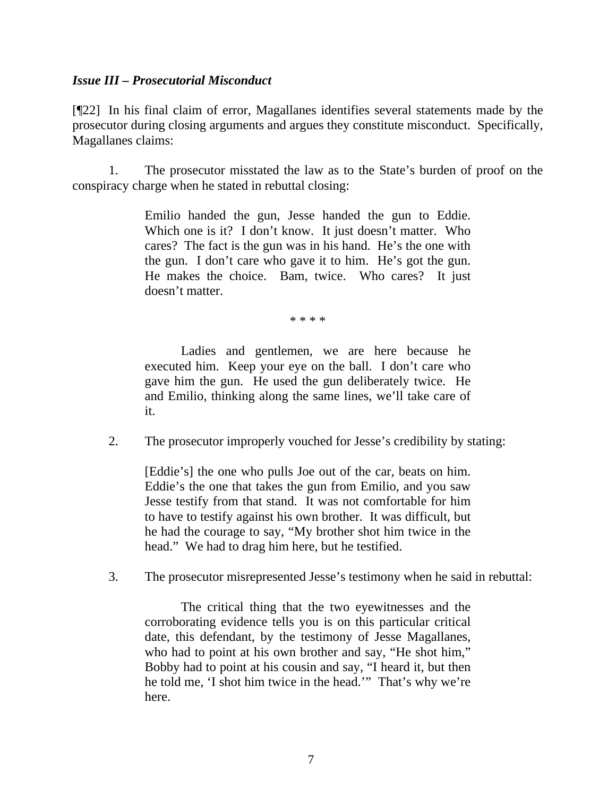# *Issue III – Prosecutorial Misconduct*

[¶22] In his final claim of error, Magallanes identifies several statements made by the prosecutor during closing arguments and argues they constitute misconduct. Specifically, Magallanes claims:

 1. The prosecutor misstated the law as to the State's burden of proof on the conspiracy charge when he stated in rebuttal closing:

> Emilio handed the gun, Jesse handed the gun to Eddie. Which one is it? I don't know. It just doesn't matter. Who cares? The fact is the gun was in his hand. He's the one with the gun. I don't care who gave it to him. He's got the gun. He makes the choice. Bam, twice. Who cares? It just doesn't matter.

> > \* \* \* \*

Ladies and gentlemen, we are here because he executed him. Keep your eye on the ball. I don't care who gave him the gun. He used the gun deliberately twice. He and Emilio, thinking along the same lines, we'll take care of it.

2. The prosecutor improperly vouched for Jesse's credibility by stating:

[Eddie's] the one who pulls Joe out of the car, beats on him. Eddie's the one that takes the gun from Emilio, and you saw Jesse testify from that stand. It was not comfortable for him to have to testify against his own brother. It was difficult, but he had the courage to say, "My brother shot him twice in the head." We had to drag him here, but he testified.

3. The prosecutor misrepresented Jesse's testimony when he said in rebuttal:

The critical thing that the two eyewitnesses and the corroborating evidence tells you is on this particular critical date, this defendant, by the testimony of Jesse Magallanes, who had to point at his own brother and say, "He shot him," Bobby had to point at his cousin and say, "I heard it, but then he told me, 'I shot him twice in the head.'" That's why we're here.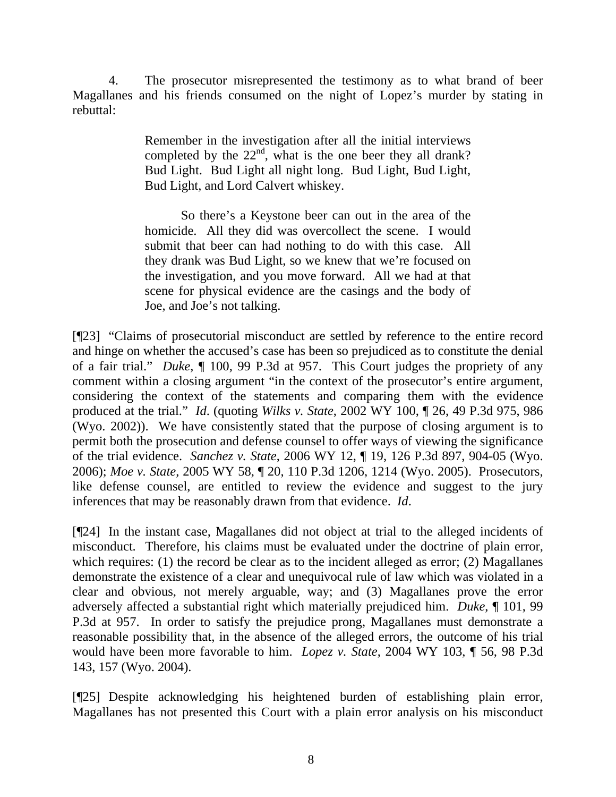4. The prosecutor misrepresented the testimony as to what brand of beer Magallanes and his friends consumed on the night of Lopez's murder by stating in rebuttal:

> Remember in the investigation after all the initial interviews completed by the  $22<sup>nd</sup>$ , what is the one beer they all drank? Bud Light. Bud Light all night long. Bud Light, Bud Light, Bud Light, and Lord Calvert whiskey.

> So there's a Keystone beer can out in the area of the homicide. All they did was overcollect the scene. I would submit that beer can had nothing to do with this case. All they drank was Bud Light, so we knew that we're focused on the investigation, and you move forward. All we had at that scene for physical evidence are the casings and the body of Joe, and Joe's not talking.

[¶23] "Claims of prosecutorial misconduct are settled by reference to the entire record and hinge on whether the accused's case has been so prejudiced as to constitute the denial of a fair trial." *Duke*, ¶ 100, 99 P.3d at 957. This Court judges the propriety of any comment within a closing argument "in the context of the prosecutor's entire argument, considering the context of the statements and comparing them with the evidence produced at the trial." *Id*. (quoting *Wilks v. State*, 2002 WY 100, ¶ 26, 49 P.3d 975, 986 (Wyo. 2002)). We have consistently stated that the purpose of closing argument is to permit both the prosecution and defense counsel to offer ways of viewing the significance of the trial evidence. *Sanchez v. State*, 2006 WY 12, ¶ 19, 126 P.3d 897, 904-05 (Wyo. 2006); *Moe v. State*, 2005 WY 58, ¶ 20, 110 P.3d 1206, 1214 (Wyo. 2005). Prosecutors, like defense counsel, are entitled to review the evidence and suggest to the jury inferences that may be reasonably drawn from that evidence. *Id*.

[¶24] In the instant case, Magallanes did not object at trial to the alleged incidents of misconduct. Therefore, his claims must be evaluated under the doctrine of plain error, which requires: (1) the record be clear as to the incident alleged as error; (2) Magallanes demonstrate the existence of a clear and unequivocal rule of law which was violated in a clear and obvious, not merely arguable, way; and (3) Magallanes prove the error adversely affected a substantial right which materially prejudiced him. *Duke*, ¶ 101, 99 P.3d at 957. In order to satisfy the prejudice prong, Magallanes must demonstrate a reasonable possibility that, in the absence of the alleged errors, the outcome of his trial would have been more favorable to him. *Lopez v. State*, 2004 WY 103, ¶ 56, 98 P.3d 143, 157 (Wyo. 2004).

[¶25] Despite acknowledging his heightened burden of establishing plain error, Magallanes has not presented this Court with a plain error analysis on his misconduct